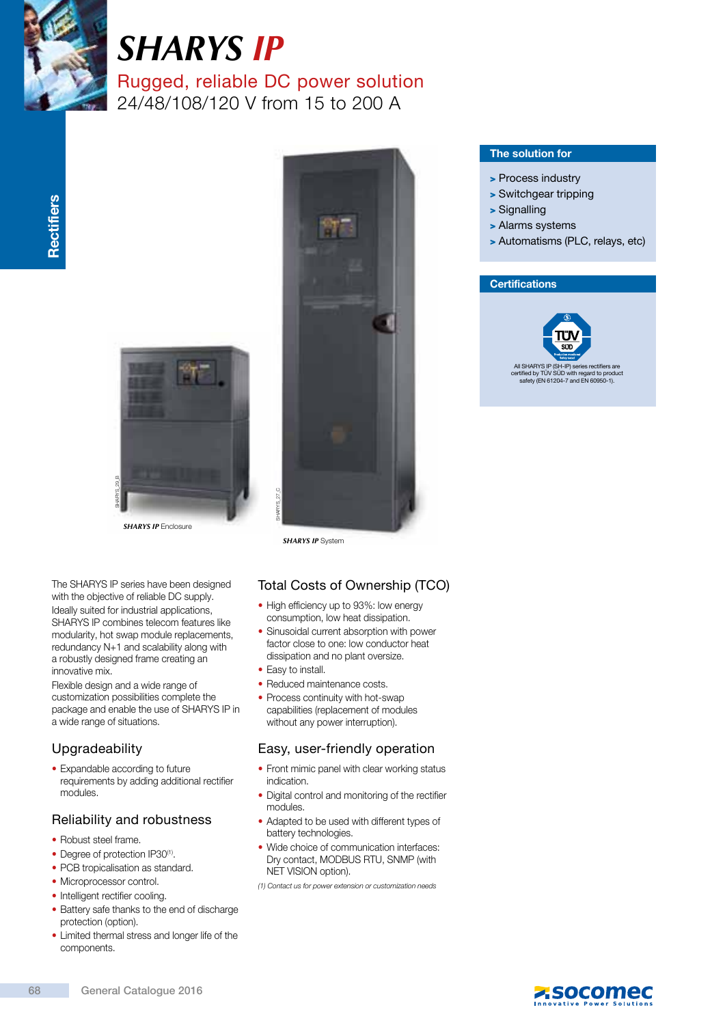

# *SHARYS Ip* Rugged, reliable DC power solution

24/48/108/120 V from 15 to 200 A



**SHARYS IP** Enclosure

SHARYS<sub>29</sub>

The SHARYS IP series have been designed with the objective of reliable DC supply. Ideally suited for industrial applications, SHARYS IP combines telecom features like modularity, hot swap module replacements, redundancy N+1 and scalability along with a robustly designed frame creating an innovative mix.

Flexible design and a wide range of customization possibilities complete the package and enable the use of SHARYS IP in a wide range of situations.

## Upgradeability

• Expandable according to future requirements by adding additional rectifier modules.

## Reliability and robustness

- Robust steel frame.
- Degree of protection IP30<sup>(1)</sup>.
- PCB tropicalisation as standard.
- Microprocessor control.
- Intelligent rectifier cooling.
- Battery safe thanks to the end of discharge protection (option).
- Limited thermal stress and longer life of the components.



## The solution for

- > Process industry
- > Switchgear tripping
- > Signalling
- > Alarms systems
- > Automatisms (PLC, relays, etc)

## **Certifications**



*SHARYS IP* System

## Total Costs of Ownership (TCO)

- High efficiency up to 93%: low energy consumption, low heat dissipation.
- Sinusoidal current absorption with power factor close to one: low conductor heat dissipation and no plant oversize. (1) Contact us for power extension or customization (1) Contact us for power extension of the simulacid current absorption with power factor close to one: low conductor heat dissipation and no plant oversize.<br>
• Easy to in
- Easy to install.
- Reduced maintenance costs.
- Process continuity with hot-swap capabilities (replacement of modules without any power interruption).

## Easy, user-friendly operation

- Front mimic panel with clear working status indication.
- Digital control and monitoring of the rectifier modules.
- Adapted to be used with different types of battery technologies.
- Wide choice of communication interfaces: Dry contact, MODBUS RTU, SNMP (with NET VISION option).
- 

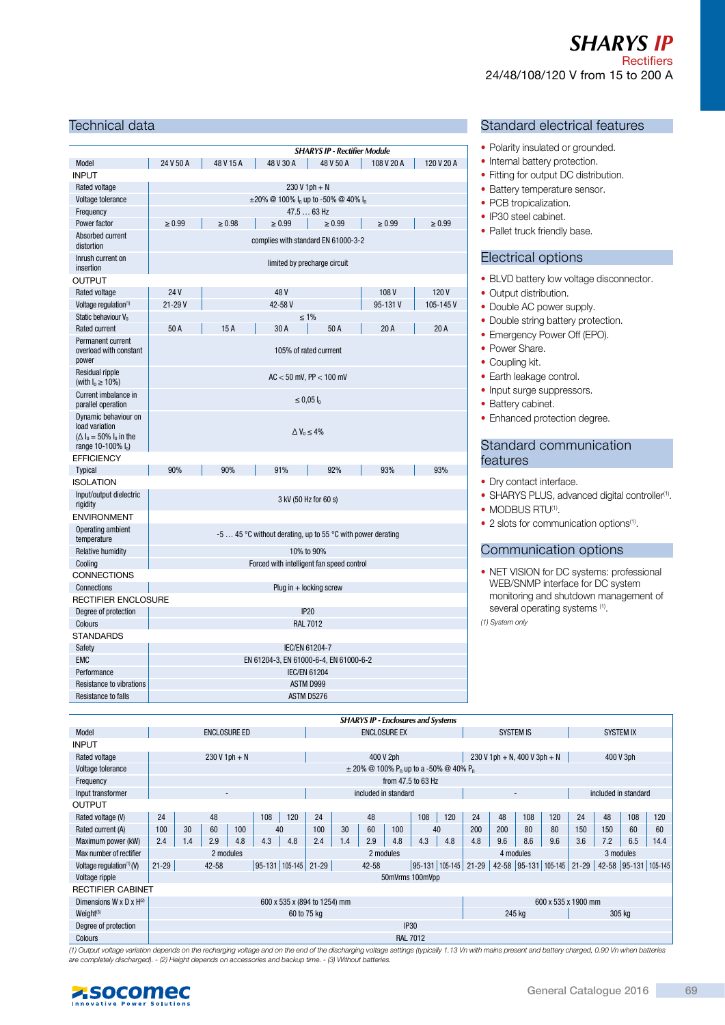## *SHARYS Ip*  **Rectifiers** 24/48/108/120 V from 15 to 200 A

#### Technical data

|                                                                                                |                                                              |             |                                        | <b>SHARYS IP - Rectifier Module</b> |             |             |  |
|------------------------------------------------------------------------------------------------|--------------------------------------------------------------|-------------|----------------------------------------|-------------------------------------|-------------|-------------|--|
| Model                                                                                          | 24 V 50 A                                                    | 48 V 15 A   | 48 V 30 A                              | 48 V 50 A                           | 108 V 20 A  | 120 V 20 A  |  |
| <b>INPUT</b>                                                                                   |                                                              |             |                                        |                                     |             |             |  |
| Rated voltage                                                                                  |                                                              |             |                                        | $230V1ph + N$                       |             |             |  |
| Voltage tolerance                                                                              | $\pm 20\%$ @ 100% $I_n$ up to -50% @ 40% $I_n$               |             |                                        |                                     |             |             |  |
| Frequency                                                                                      | 47.5  63 Hz                                                  |             |                                        |                                     |             |             |  |
| Power factor                                                                                   | $\geq 0.99$                                                  | $\geq 0.98$ | $\geq 0.99$                            | $\geq 0.99$                         | $\geq 0.99$ | $\geq 0.99$ |  |
| Absorbed current<br>distortion                                                                 |                                                              |             |                                        | complies with standard EN 61000-3-2 |             |             |  |
| Inrush current on<br>insertion                                                                 |                                                              |             |                                        | limited by precharge circuit        |             |             |  |
| <b>OUTPUT</b>                                                                                  |                                                              |             |                                        |                                     |             |             |  |
| Rated voltage                                                                                  | 24 V                                                         |             | 48 V                                   |                                     | 108V        | 120V        |  |
| Voltage regulation <sup>(1)</sup>                                                              | $21 - 29V$                                                   |             | 42-58V                                 |                                     | 95-131V     | 105-145V    |  |
| Static behaviour V <sub>o</sub>                                                                |                                                              |             |                                        | $\leq 1\%$                          |             |             |  |
| <b>Rated current</b>                                                                           | 50 A                                                         | 15A         | 30 A                                   | 50A                                 | 20A         | 20A         |  |
| Permanent current<br>overload with constant<br>power                                           | 105% of rated currrent                                       |             |                                        |                                     |             |             |  |
| Residual ripple<br>(with $I_0 \ge 10\%$ )                                                      | $AC < 50$ mV, PP $< 100$ mV                                  |             |                                        |                                     |             |             |  |
| Current imbalance in<br>parallel operation                                                     | ≤ 0,05 $I_0$                                                 |             |                                        |                                     |             |             |  |
| Dynamic behaviour on<br>load variation<br>$(\Delta I_0 = 50\% I_0$ in the<br>range 10-100% lo) | $\Delta V_0 \leq 4\%$                                        |             |                                        |                                     |             |             |  |
| <b>EFFICIENCY</b>                                                                              |                                                              |             |                                        |                                     |             |             |  |
| Typical                                                                                        | 90%                                                          | 90%         | 91%                                    | 92%                                 | 93%         | 93%         |  |
| <b>ISOLATION</b>                                                                               |                                                              |             |                                        |                                     |             |             |  |
| Input/output dielectric<br>rigidity                                                            |                                                              |             |                                        | 3 kV (50 Hz for 60 s)               |             |             |  |
| <b>ENVIRONMENT</b>                                                                             |                                                              |             |                                        |                                     |             |             |  |
| Operating ambient<br>temperature                                                               | $-5$ 45 °C without derating, up to 55 °C with power derating |             |                                        |                                     |             |             |  |
| Relative humidity                                                                              | 10% to 90%                                                   |             |                                        |                                     |             |             |  |
| Cooling                                                                                        | Forced with intelligent fan speed control                    |             |                                        |                                     |             |             |  |
| <b>CONNECTIONS</b>                                                                             |                                                              |             |                                        |                                     |             |             |  |
| Connections                                                                                    |                                                              |             |                                        | Plug in $+$ locking screw           |             |             |  |
| <b>RECTIFIER ENCLOSURE</b>                                                                     |                                                              |             |                                        |                                     |             |             |  |
| Degree of protection                                                                           |                                                              |             |                                        | <b>IP20</b>                         |             |             |  |
| Colours                                                                                        | <b>RAL 7012</b>                                              |             |                                        |                                     |             |             |  |
| <b>STANDARDS</b>                                                                               |                                                              |             |                                        |                                     |             |             |  |
| Safety                                                                                         |                                                              |             |                                        | IEC/EN 61204-7                      |             |             |  |
| <b>EMC</b>                                                                                     |                                                              |             | EN 61204-3, EN 61000-6-4, EN 61000-6-2 |                                     |             |             |  |
| Performance                                                                                    |                                                              |             |                                        | <b>IEC/EN 61204</b>                 |             |             |  |
| Resistance to vibrations                                                                       |                                                              |             |                                        | ASTM D999                           |             |             |  |
| Resistance to falls                                                                            |                                                              |             |                                        | ASTM D5276                          |             |             |  |

#### Standard electrical features

- Polarity insulated or grounded.
- Internal battery protection.
- Fitting for output DC distribution.
- Battery temperature sensor.
- PCB tropicalization.
- IP30 steel cabinet.
- Pallet truck friendly base.

#### Electrical options

- BLVD battery low voltage disconnector.
- Output distribution.
- Double AC power supply.
- Double string battery protection.
- Emergency Power Off (EPO).
- Power Share.
- Coupling kit.
- Earth leakage control.
- Input surge suppressors.
- Battery cabinet.
- Enhanced protection degree.

#### Standard communication features

- Dry contact interface.
- SHARYS PLUS, advanced digital controller<sup>(1)</sup>.
- MODBUS RTU<sup>(1)</sup>.
- 2 slots for communication options<sup>(1)</sup>.

#### Communication options

• NET VISION for DC systems: professional WEB/SNMP interface for DC system monitoring and shutdown management of several operating systems <sup>(1)</sup>.

| (1) System only |  |
|-----------------|--|
|-----------------|--|

|                              |                                                     | <b>SHARYS IP - Enclosures and Systems</b> |                     |                 |     |                      |                      |     |                                                                   |     |                          |                              |           |                  |                      |           |           |     |                      |      |
|------------------------------|-----------------------------------------------------|-------------------------------------------|---------------------|-----------------|-----|----------------------|----------------------|-----|-------------------------------------------------------------------|-----|--------------------------|------------------------------|-----------|------------------|----------------------|-----------|-----------|-----|----------------------|------|
| Model                        |                                                     |                                           | <b>ENCLOSURE ED</b> |                 |     |                      | <b>ENCLOSURE EX</b>  |     |                                                                   |     | SYSTEM IS                |                              |           | <b>SYSTEM IX</b> |                      |           |           |     |                      |      |
| <b>INPUT</b>                 |                                                     |                                           |                     |                 |     |                      |                      |     |                                                                   |     |                          |                              |           |                  |                      |           |           |     |                      |      |
| Rated voltage                |                                                     |                                           |                     | $230 V 1ph + N$ |     |                      | 400 V 2ph            |     |                                                                   |     |                          | 230 V 1ph + N, 400 V 3ph + N |           |                  |                      | 400 V 3ph |           |     |                      |      |
| Voltage tolerance            |                                                     |                                           |                     |                 |     |                      |                      |     | $\pm$ 20% @ 100% P <sub>n</sub> up to a -50% @ 40% P <sub>n</sub> |     |                          |                              |           |                  |                      |           |           |     |                      |      |
| Frequency                    |                                                     |                                           |                     |                 |     |                      |                      |     |                                                                   |     | from 47.5 to 63 Hz       |                              |           |                  |                      |           |           |     |                      |      |
| Input transformer            | $\overline{\phantom{a}}$                            |                                           |                     |                 |     |                      | included in standard |     |                                                                   |     | $\overline{\phantom{a}}$ |                              |           |                  | included in standard |           |           |     |                      |      |
| <b>OUTPUT</b>                |                                                     |                                           |                     |                 |     |                      |                      |     |                                                                   |     |                          |                              |           |                  |                      |           |           |     |                      |      |
| Rated voltage (V)            | 24                                                  |                                           | 48                  |                 | 108 | 120                  | 24                   |     | 48                                                                |     | 108                      | 120                          | 24        | 48               | 108                  | 120       | 24        | 48  | 108                  | 120  |
| Rated current (A)            | 100                                                 | 30                                        | 60                  | 100             |     | 40                   | 100                  | 30  | 60                                                                | 100 |                          | 40                           | 200       | 200              | 80                   | 80        | 150       | 150 | 60                   | 60   |
| Maximum power (kW)           | 2.4                                                 | 1.4                                       | 2.9                 | 4.8             | 4.3 | 4.8                  | 2.4                  | 1.4 | 2.9                                                               | 4.8 | 4.3                      | 4.8                          | 4.8       | 9.6              | 8.6                  | 9.6       | 3.6       | 7.2 | 6.5                  | 14.4 |
| Max number of rectifier      |                                                     |                                           |                     | 2 modules       |     |                      | 2 modules            |     |                                                                   |     |                          | 4 modules                    |           |                  |                      | 3 modules |           |     |                      |      |
| Voltage regulation $(1)$ (V) | $21 - 29$                                           |                                           | $42 - 58$           |                 |     | 95-131 105-145 21-29 |                      |     | 42-58                                                             |     |                          | 95-131 105-145               | $21 - 29$ |                  | 42-58 95-131 105-145 |           | $21 - 29$ |     | 42-58 95-131 105-145 |      |
| Voltage ripple               |                                                     |                                           |                     |                 |     |                      |                      |     |                                                                   |     | 50mVrms 100mVpp          |                              |           |                  |                      |           |           |     |                      |      |
|                              | <b>RECTIFIER CABINET</b>                            |                                           |                     |                 |     |                      |                      |     |                                                                   |     |                          |                              |           |                  |                      |           |           |     |                      |      |
| Dimensions W x D x $H^{(2)}$ | 600 x 535 x (894 to 1254) mm<br>600 x 535 x 1900 mm |                                           |                     |                 |     |                      |                      |     |                                                                   |     |                          |                              |           |                  |                      |           |           |     |                      |      |
| Weight <sup>(3)</sup>        |                                                     |                                           |                     |                 |     |                      | 60 to 75 kg          |     |                                                                   |     |                          |                              |           |                  | 245 kg               |           |           |     | 305 kg               |      |
| Degree of protection         |                                                     |                                           |                     |                 |     |                      |                      |     |                                                                   |     | <b>IP30</b>              |                              |           |                  |                      |           |           |     |                      |      |
| Colours                      |                                                     |                                           |                     |                 |     |                      |                      |     |                                                                   |     | <b>RAL 7012</b>          |                              |           |                  |                      |           |           |     |                      |      |

(1) Output voltage variation depends on the recharging voltage and on the end of the discharging voltage settings (typically 1.13 Vn with mains present and battery charged, 0.90 Vn when batteries are completely discharged). - (2) Height depends on accessories and backup time. - (3) Without batteries.

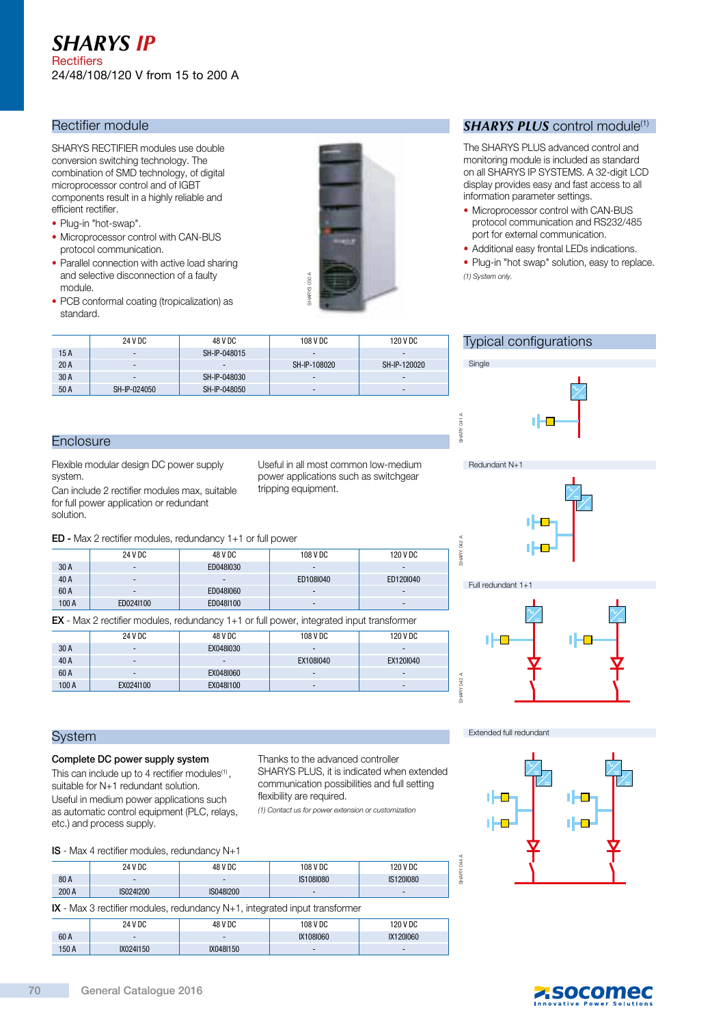## *SHARYS Ip*  **Rectifiers** 24/48/108/120 V from 15 to 200 A

## Rectifier module

SHARYS RECTIFIER modules use double conversion switching technology. The combination of SMD technology, of digital microprocessor control and of IGBT components result in a highly reliable and efficient rectifier.

- Plug-in "hot-swap".
- Microprocessor control with CAN-BUS protocol communication.
- Parallel connection with active load sharing and selective disconnection of a faulty module.
- PCB conformal coating (tropicalization) as standard.



#### *SHARYS PLUS* control module<sup>(1)</sup>

The SHARYS PLUS advanced control and monitoring module is included as standard on all SHARYS IP SYSTEMS. A 32-digit LCD display provides easy and fast access to all information parameter settings.

- Microprocessor control with CAN-BUS protocol communication and RS232/485 port for external communication.
- Additional easy frontal LEDs indications.

Typical configurations

п

**Single** 

SHARY 041 A

Ē HARY

SHARY 042 A

A CM **ARY**  Redundant N+1

• Plug-in "hot swap" solution, easy to replace. (1) System only.

|      | 24 V DC                  | 48 V DC                  | 108 V DC     | 120 V DC     |
|------|--------------------------|--------------------------|--------------|--------------|
| 15A  | $\overline{\phantom{0}}$ | SH-IP-048015             |              |              |
| 20A  | $\,$                     | $\overline{\phantom{0}}$ | SH-IP-108020 | SH-IP-120020 |
| 30 A | $\sim$                   | SH-IP-048030             |              |              |
| 50 A | SH-IP-024050             | SH-IP-048050             | -            | $\,$         |

### **Enclosure**

Flexible modular design DC power supply system.

Can include 2 rectifier modules max, suitable for full power application or redundant solution.

Useful in all most common low-medium power applications such as switchgear tripping equipment.

## ED - Max 2 rectifier modules, redundancy 1+1 or full power

|       | $ED$ - Max $\angle$ rectifier inputation, required for $T + T$ or full power |           |                |           |  |  |
|-------|------------------------------------------------------------------------------|-----------|----------------|-----------|--|--|
|       | 24 V DC                                                                      | 48 V DC   | 108 V DC       | 120 V DC  |  |  |
| 30 A  | $\overline{\phantom{a}}$                                                     | ED048I030 |                |           |  |  |
| 40 A  | $\overline{\phantom{0}}$                                                     |           | ED108I040      | ED1201040 |  |  |
| 60 A  | $\overline{\phantom{a}}$                                                     | ED048I060 | $\overline{a}$ |           |  |  |
| 100 A | ED024I100                                                                    | ED0481100 |                |           |  |  |
|       |                                                                              |           |                |           |  |  |

EX - Max 2 rectifier modules, redundancy 1+1 or full power, integrated input transformer

|       | 24 V DC                  | 48 V DC   | 108 V DC  | 120 V DC                 |
|-------|--------------------------|-----------|-----------|--------------------------|
| 30 A  | $\sim$                   | EX0481030 |           |                          |
| 40 A  | $\overline{\phantom{a}}$ | -         | EX108I040 | EX1201040                |
| 60 A  | $\overline{\phantom{a}}$ | EX0481060 |           | $\overline{\phantom{a}}$ |
| 100 A | EX0241100                | EX0481100 |           |                          |



#### System

#### Complete DC power supply system

#### IS - Max 4 rectifier modules, redundancy N+1

| UV N                                                                                                                                                                                                                                                                                                          |                       | LAUTUIUUU |  |                                                                                                                                                                       |                                            |  |  |  |  |
|---------------------------------------------------------------------------------------------------------------------------------------------------------------------------------------------------------------------------------------------------------------------------------------------------------------|-----------------------|-----------|--|-----------------------------------------------------------------------------------------------------------------------------------------------------------------------|--------------------------------------------|--|--|--|--|
| 100A                                                                                                                                                                                                                                                                                                          | EX024I100             | EX0481100 |  |                                                                                                                                                                       |                                            |  |  |  |  |
|                                                                                                                                                                                                                                                                                                               | SHARY 043 A<br>System |           |  |                                                                                                                                                                       |                                            |  |  |  |  |
| Complete DC power supply system<br>This can include up to 4 rectifier modules $(1)$ ,<br>suitable for N+1 redundant solution.<br>Useful in medium power applications such<br>as automatic control equipment (PLC, relays,<br>etc.) and process supply.<br><b>IS</b> - Max 4 rectifier modules, redundancy N+1 |                       |           |  | Thanks to the advanced controller<br>communication possibilities and full setting<br>flexibility are required.<br>(1) Contact us for power extension or customization | SHARYS PLUS, it is indicated when extended |  |  |  |  |
|                                                                                                                                                                                                                                                                                                               | 24 V DC               | 48 V DC   |  | 108 V DC                                                                                                                                                              | 120 V DC                                   |  |  |  |  |
| 80 A                                                                                                                                                                                                                                                                                                          |                       |           |  | IS108I080                                                                                                                                                             | IS1201080                                  |  |  |  |  |
| 200 A                                                                                                                                                                                                                                                                                                         | IS024I200             | IS048I200 |  |                                                                                                                                                                       |                                            |  |  |  |  |

IX - Max 3 rectifier modules, redundancy N+1, integrated input transformer

|       |           | . .       |           |           |
|-------|-----------|-----------|-----------|-----------|
|       | 24 V DC   | 48 V DC   | 108 V DC  | 120 V DC  |
| 60 A  |           | -         | IX108I060 | IX120I060 |
| 150 A | IX0241150 | IX0481150 | -         |           |

## Extended full redundant